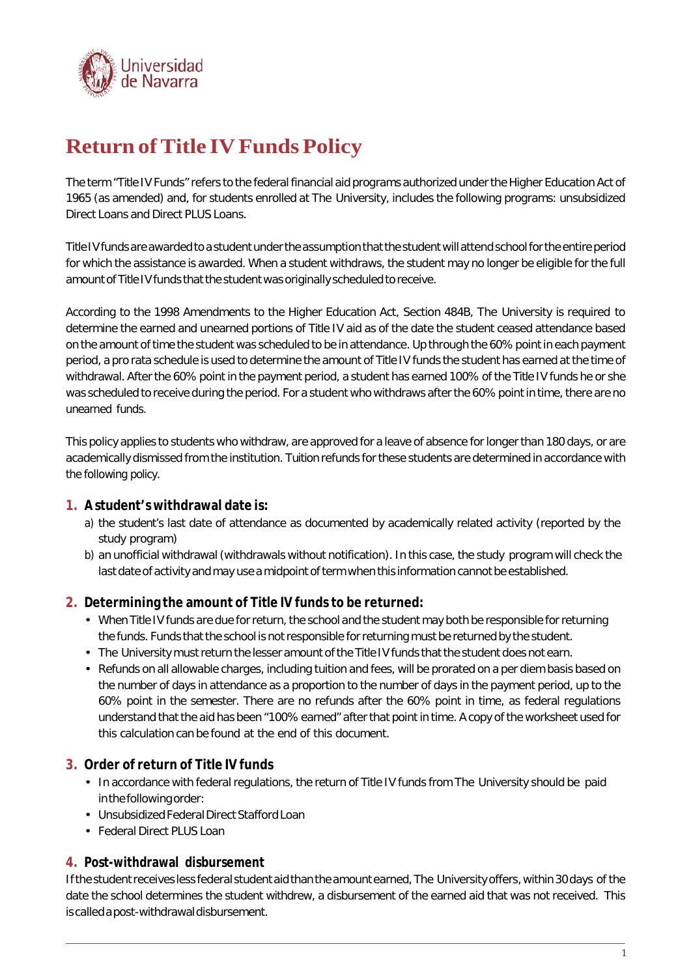

# **Return of Title IV Funds Policy**

The term "Title IV Funds" refers to the federal financial aid programs authorized under the Higher Education Act of 1965 (as amended) and, for students enrolled at The University, includes the following programs: unsubsidized Direct Loans and Direct PLUS Loans.

Title IV funds are awarded to a student under the assumption that the student will attend school for the entire period for which the assistance is awarded. When a student withdraws, the student may no longer be eligible for the full amount of Title IV funds that the student was originally scheduled to receive.

According to the 1998 Amendments to the Higher Education Act, Section 484B, The University is required to determine the earned and unearned portions of Title IV aid as of the date the student ceased attendance based on the amount of time the student was scheduled to be in attendance. Up through the 60% point in each payment period, a pro rata schedule is used to determine the amount of Title IV funds the student has earned at the time of withdrawal. After the 60% point in the payment period, a student has earned 100% of the Title IV funds he or she was scheduled to receive during the period. For a student who withdraws after the 60% point in time, there are no unearned funds.

This policy applies to students who withdraw, are approved for a leave of absence for longer than 180 days, or are academically dismissed from the institution. Tuition refunds for these students are determined in accordance with the following policy.

# **1. A student's withdrawal date is:**

- a) the student's last date of attendance as documented by academically related activity (reported by the study program)
- b) an unofficial withdrawal (withdrawals without notification). In this case, the study program will check the last date of activity and may use a midpoint of term when this information cannot be established.

#### **2. Determining the amount of Title IV funds to be returned:**

- When Title IV funds are due for return, the school and the student may both be responsible for returning the funds. Funds that the school is not responsible for returning must be returned by the student.
- The University must return the lesser amount of the Title IV funds that the student does not earn.
- Refunds on all allowable charges, including tuition and fees, will be prorated on a per diem basis based on the number of days in attendance as a proportion to the number of days in the payment period, up to the 60% point in the semester. There are no refunds after the 60% point in time, as federal regulations understand that the aid has been "100% earned" after that point in time. A copy of the worksheet used for this calculation can be found at the end of this document.

# **3. Order of return of Title IV funds**

- In accordance with federal regulations, the return of Title IV funds from The University should be paid in the following order:
- Unsubsidized Federal Direct Stafford Loan
- Federal Direct PLUS Loan

#### **4. Post-withdrawal disbursement**

If the student receives less federal student aid than the amount earned, The University offers, within 30 days of the date the school determines the student withdrew, a disbursement of the earned aid that was not received. This is calledapost-withdrawaldisbursement.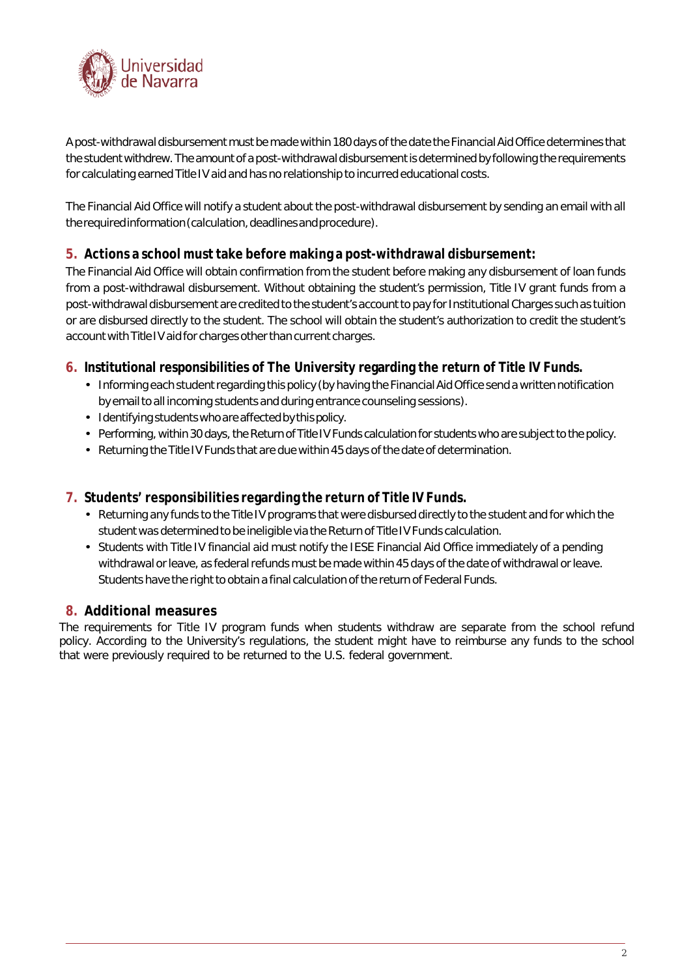

A post-withdrawal disbursement must be made within 180 days ofthe date the Financial Aid Office determines that the studentwithdrew.The amount of a post-withdrawal disbursementis determined by following the requirements for calculating earned Title IV aid and has no relationship to incurred educational costs.

The Financial Aid Office will notify a student about the post-withdrawal disbursement by sending an email with all therequiredinformation(calculation,deadlinesandprocedure).

# **5. Actions a school musttake before making a post-withdrawal disbursement:**

The Financial Aid Office will obtain confirmation from the student before making any disbursement of loan funds from a post-withdrawal disbursement. Without obtaining the student's permission, Title IV grant funds from a post-withdrawal disbursement are credited to the student's account to pay for Institutional Charges such as tuition or are disbursed directly to the student. The school will obtain the student's authorization to credit the student's account with Title IV aid for charges other than current charges.

#### **6. Institutional responsibilities of The University regarding the return of Title IV Funds.**

- Informing each student regarding this policy (by having the Financial Aid Office send a written notification by emailto all incoming students and during entrance counseling sessions).
- Identifyingstudentswhoareaffectedbythispolicy.
- Performing, within 30 days, the Return of Title IV Funds calculation for students who are subject to the policy.
- Returning the Title IV Funds that are due within 45 days of the date of determination.

# **7. Students' responsibilities regarding the return of Title IV Funds.**

- Returning any funds to the Title IV programs that were disbursed directly to the student and for which the student was determined to be ineligible via the Return of Title IV Funds calculation.
- Students with Title IV financial aid must notify the IESE Financial Aid Office immediately of a pending withdrawal or leave, as federal refunds must be made within 45 days of the date of withdrawal or leave. Students have the right to obtain a final calculation of the return of Federal Funds.

# **8. Additional measures**

The requirements for Title IV program funds when students withdraw are separate from the school refund policy. According to the University's regulations, the student might have to reimburse any funds to the school that were previously required to be returned to the U.S. federal government.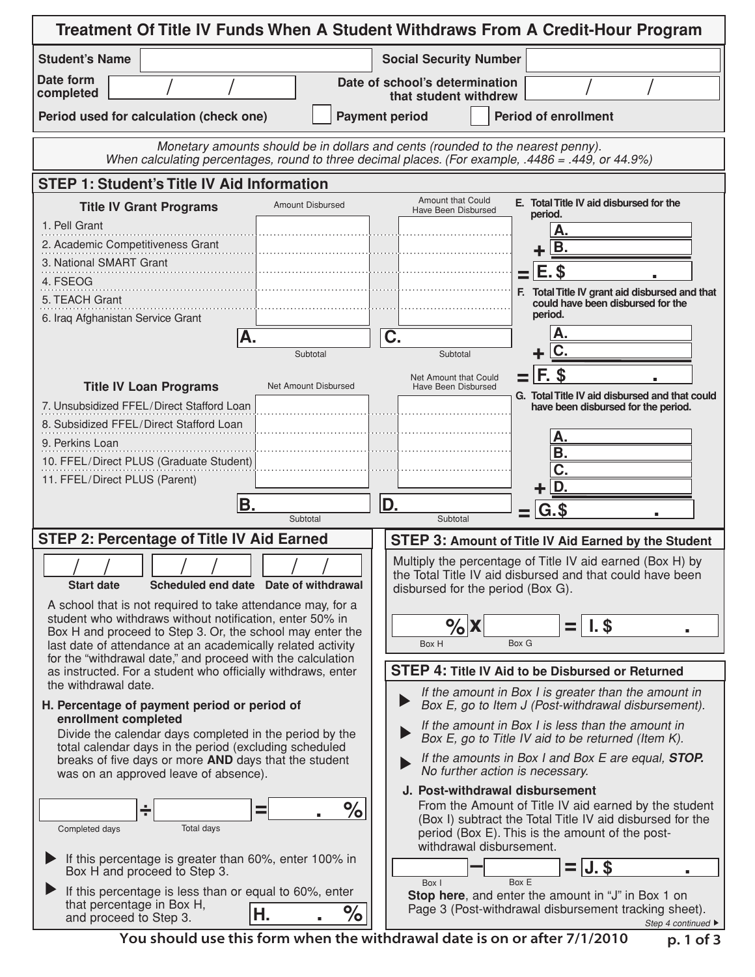| Treatment Of Title IV Funds When A Student Withdraws From A Credit-Hour Program                                                                                                      |                                                                                                                                                                                                                |  |  |  |  |  |  |  |
|--------------------------------------------------------------------------------------------------------------------------------------------------------------------------------------|----------------------------------------------------------------------------------------------------------------------------------------------------------------------------------------------------------------|--|--|--|--|--|--|--|
| <b>Student's Name</b>                                                                                                                                                                | <b>Social Security Number</b>                                                                                                                                                                                  |  |  |  |  |  |  |  |
| Date form<br>completed                                                                                                                                                               | Date of school's determination<br>that student withdrew                                                                                                                                                        |  |  |  |  |  |  |  |
| Period used for calculation (check one)                                                                                                                                              | <b>Period of enrollment</b><br><b>Payment period</b>                                                                                                                                                           |  |  |  |  |  |  |  |
| Monetary amounts should be in dollars and cents (rounded to the nearest penny).                                                                                                      |                                                                                                                                                                                                                |  |  |  |  |  |  |  |
| When calculating percentages, round to three decimal places. (For example, .4486 = .449, or 44.9%)                                                                                   |                                                                                                                                                                                                                |  |  |  |  |  |  |  |
| <b>STEP 1: Student's Title IV Aid Information</b>                                                                                                                                    | <b>Amount that Could</b><br>E. Total Title IV aid disbursed for the                                                                                                                                            |  |  |  |  |  |  |  |
| <b>Amount Disbursed</b><br><b>Title IV Grant Programs</b><br>1. Pell Grant                                                                                                           | Have Been Disbursed<br>period.                                                                                                                                                                                 |  |  |  |  |  |  |  |
| 2. Academic Competitiveness Grant                                                                                                                                                    | B.                                                                                                                                                                                                             |  |  |  |  |  |  |  |
| 3. National SMART Grant                                                                                                                                                              | E.                                                                                                                                                                                                             |  |  |  |  |  |  |  |
| 4. FSEOG                                                                                                                                                                             | F. Total Title IV grant aid disbursed and that                                                                                                                                                                 |  |  |  |  |  |  |  |
| 5. TEACH Grant<br>6. Iraq Afghanistan Service Grant                                                                                                                                  | could have been disbursed for the<br>period.                                                                                                                                                                   |  |  |  |  |  |  |  |
| А.                                                                                                                                                                                   | А.<br>C.                                                                                                                                                                                                       |  |  |  |  |  |  |  |
| Subtotal                                                                                                                                                                             | Subtotal                                                                                                                                                                                                       |  |  |  |  |  |  |  |
| Net Amount Disbursed<br><b>Title IV Loan Programs</b>                                                                                                                                | F. \$<br>Net Amount that Could<br>Have Been Disbursed                                                                                                                                                          |  |  |  |  |  |  |  |
| 7. Unsubsidized FFEL/Direct Stafford Loan                                                                                                                                            | G. Total Title IV aid disbursed and that could<br>have been disbursed for the period.                                                                                                                          |  |  |  |  |  |  |  |
| 8. Subsidized FFEL/Direct Stafford Loan                                                                                                                                              | А.                                                                                                                                                                                                             |  |  |  |  |  |  |  |
| 9. Perkins Loan<br>10. FFEL/Direct PLUS (Graduate Student)                                                                                                                           | В.                                                                                                                                                                                                             |  |  |  |  |  |  |  |
| 11. FFEL/Direct PLUS (Parent)                                                                                                                                                        |                                                                                                                                                                                                                |  |  |  |  |  |  |  |
| B.                                                                                                                                                                                   | D.<br>D.                                                                                                                                                                                                       |  |  |  |  |  |  |  |
| Subtotal                                                                                                                                                                             | G.\$<br>Subtotal                                                                                                                                                                                               |  |  |  |  |  |  |  |
| <b>STEP 2: Percentage of Title IV Aid Earned</b>                                                                                                                                     | STEP 3: Amount of Title IV Aid Earned by the Student                                                                                                                                                           |  |  |  |  |  |  |  |
| Scheduled end date Date of withdrawal<br><b>Start date</b>                                                                                                                           | Multiply the percentage of Title IV aid earned (Box H) by<br>the Total Title IV aid disbursed and that could have been<br>disbursed for the period (Box G).                                                    |  |  |  |  |  |  |  |
| A school that is not required to take attendance may, for a                                                                                                                          |                                                                                                                                                                                                                |  |  |  |  |  |  |  |
| student who withdraws without notification, enter 50% in<br>Box H and proceed to Step 3. Or, the school may enter the<br>last date of attendance at an academically related activity | $\%$ X<br>$\mathsf{I}$ . \$<br>Box G<br>Box H                                                                                                                                                                  |  |  |  |  |  |  |  |
| for the "withdrawal date," and proceed with the calculation                                                                                                                          | <b>STEP 4: Title IV Aid to be Disbursed or Returned</b>                                                                                                                                                        |  |  |  |  |  |  |  |
| as instructed. For a student who officially withdraws, enter<br>the withdrawal date.                                                                                                 | If the amount in Box I is greater than the amount in                                                                                                                                                           |  |  |  |  |  |  |  |
| H. Percentage of payment period or period of                                                                                                                                         | Box E, go to Item J (Post-withdrawal disbursement).                                                                                                                                                            |  |  |  |  |  |  |  |
| enrollment completed<br>Divide the calendar days completed in the period by the                                                                                                      | If the amount in Box I is less than the amount in<br>Box E, go to Title IV aid to be returned (Item K).                                                                                                        |  |  |  |  |  |  |  |
| total calendar days in the period (excluding scheduled<br>breaks of five days or more AND days that the student<br>was on an approved leave of absence).                             | If the amounts in Box I and Box E are equal, STOP.<br>No further action is necessary.                                                                                                                          |  |  |  |  |  |  |  |
|                                                                                                                                                                                      | J. Post-withdrawal disbursement                                                                                                                                                                                |  |  |  |  |  |  |  |
| $\%$<br>÷<br>Ξ<br><b>Total days</b><br>Completed days                                                                                                                                | From the Amount of Title IV aid earned by the student<br>(Box I) subtract the Total Title IV aid disbursed for the<br>period (Box E). This is the amount of the post-<br>withdrawal disbursement.              |  |  |  |  |  |  |  |
| If this percentage is greater than 60%, enter 100% in<br>Box H and proceed to Step 3.                                                                                                | $=$ $J.$ \$<br>Box I<br>Box E                                                                                                                                                                                  |  |  |  |  |  |  |  |
| If this percentage is less than or equal to 60%, enter<br>that percentage in Box H,<br>$\%$<br>Η.<br>and proceed to Step 3.                                                          | Stop here, and enter the amount in "J" in Box 1 on<br>Page 3 (Post-withdrawal disbursement tracking sheet).<br>Step 4 continued ▶<br>Vou should use this form when the withdrawal date is on or after 7/1/2010 |  |  |  |  |  |  |  |

p. 1 of 3 You should use this form when the withdrawal date is on or after 7/1/2010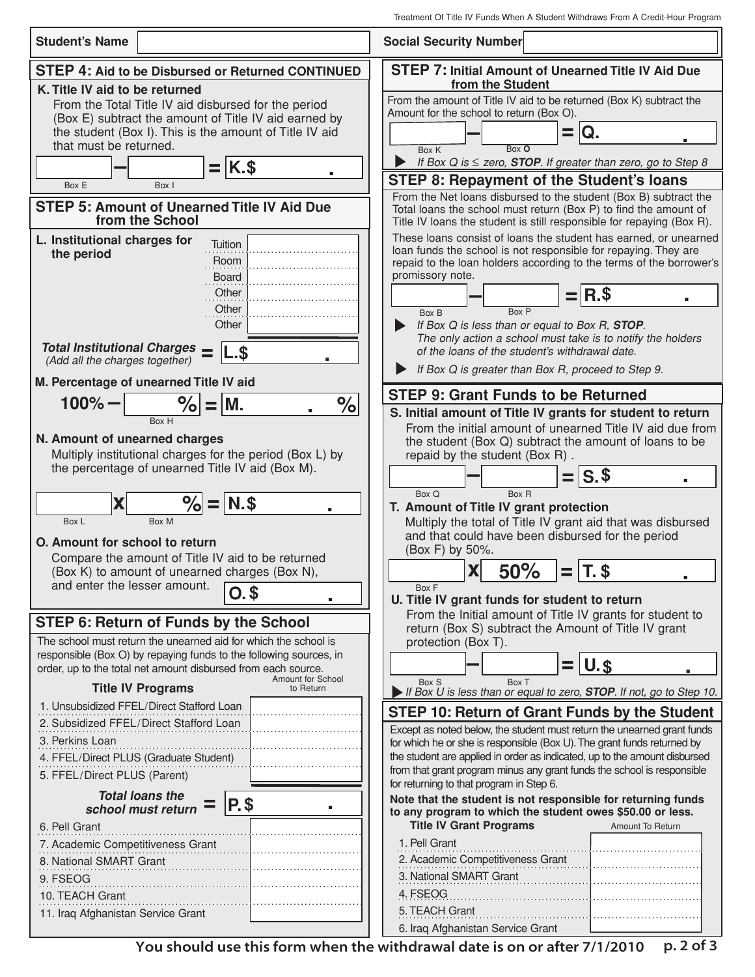| <b>Student's Name</b>                                                                                                                                                                                                                | <b>Social Security Number</b>                                                                                                                                                                                                                                                                                                       |  |  |  |
|--------------------------------------------------------------------------------------------------------------------------------------------------------------------------------------------------------------------------------------|-------------------------------------------------------------------------------------------------------------------------------------------------------------------------------------------------------------------------------------------------------------------------------------------------------------------------------------|--|--|--|
| <b>STEP 4: Aid to be Disbursed or Returned CONTINUED</b>                                                                                                                                                                             | <b>STEP 7: Initial Amount of Unearned Title IV Aid Due</b>                                                                                                                                                                                                                                                                          |  |  |  |
| K. Title IV aid to be returned<br>From the Total Title IV aid disbursed for the period<br>(Box E) subtract the amount of Title IV aid earned by<br>the student (Box I). This is the amount of Title IV aid<br>that must be returned. | from the Student<br>From the amount of Title IV aid to be returned (Box K) subtract the<br>Amount for the school to return (Box O).<br>IQ.<br>Box O<br>Box K<br>If Box Q is $\le$ zero, <b>STOP</b> . If greater than zero, go to Step 8                                                                                            |  |  |  |
| $=$ $K.$ \$<br>٠<br>Box I<br>Box E                                                                                                                                                                                                   | <b>STEP 8: Repayment of the Student's loans</b>                                                                                                                                                                                                                                                                                     |  |  |  |
| <b>STEP 5: Amount of Unearned Title IV Aid Due</b><br>from the School<br>L. Institutional charges for                                                                                                                                | From the Net loans disbursed to the student (Box B) subtract the<br>Total loans the school must return (Box P) to find the amount of<br>Title IV loans the student is still responsible for repaying (Box R).<br>These loans consist of loans the student has earned, or unearned                                                   |  |  |  |
| Tuition<br>the period<br>Room<br><b>Board</b><br>Other                                                                                                                                                                               | loan funds the school is not responsible for repaying. They are<br>repaid to the loan holders according to the terms of the borrower's<br>promissory note.<br>R.S                                                                                                                                                                   |  |  |  |
| Other<br>Other<br><b>Total Institutional Charges</b>                                                                                                                                                                                 | Box P<br>Box B<br>If Box Q is less than or equal to Box R, STOP.<br>The only action a school must take is to notify the holders<br>of the loans of the student's withdrawal date.                                                                                                                                                   |  |  |  |
| L.\$<br>(Add all the charges together)                                                                                                                                                                                               | If Box Q is greater than Box R, proceed to Step 9.                                                                                                                                                                                                                                                                                  |  |  |  |
| M. Percentage of unearned Title IV aid                                                                                                                                                                                               | <b>STEP 9: Grant Funds to be Returned</b>                                                                                                                                                                                                                                                                                           |  |  |  |
| $\frac{1}{\sqrt{2}}$<br>$\% = M$ .<br>$100\% -$<br>Box H<br>N. Amount of unearned charges<br>Multiply institutional charges for the period (Box L) by<br>the percentage of unearned Title IV aid (Box M).                            | S. Initial amount of Title IV grants for student to return<br>From the initial amount of unearned Title IV aid due from<br>the student (Box Q) subtract the amount of loans to be<br>repaid by the student (Box R).                                                                                                                 |  |  |  |
| $\% = N$<br>X<br>Box L<br>Box M<br>O. Amount for school to return<br>Compare the amount of Title IV aid to be returned                                                                                                               | $=$ $ S.$ \$<br>Box Q<br>Box R<br>T. Amount of Title IV grant protection<br>Multiply the total of Title IV grant aid that was disbursed<br>and that could have been disbursed for the period<br>(Box F) by 50%.                                                                                                                     |  |  |  |
| (Box K) to amount of unearned charges (Box N),<br>and enter the lesser amount. $\boxed{0.\$}$                                                                                                                                        | 50%<br>X<br>$\equiv$<br>Box F<br>U. Title IV grant funds for student to return<br>From the Initial amount of Title IV grants for student to                                                                                                                                                                                         |  |  |  |
| <b>STEP 6: Return of Funds by the School</b><br>The school must return the unearned aid for which the school is                                                                                                                      | return (Box S) subtract the Amount of Title IV grant<br>protection (Box T).                                                                                                                                                                                                                                                         |  |  |  |
| responsible (Box O) by repaying funds to the following sources, in<br>order, up to the total net amount disbursed from each source.<br>Amount for School<br><b>Title IV Programs</b><br>to Return                                    | $=$ U.s<br>Box S<br>Box T                                                                                                                                                                                                                                                                                                           |  |  |  |
| 1. Unsubsidized FFEL/Direct Stafford Loan<br>2. Subsidized FFEL/Direct Stafford Loan<br>3. Perkins Loan                                                                                                                              | If Box U is less than or equal to zero, <b>STOP</b> . If not, go to Step 10.<br>STEP 10: Return of Grant Funds by the Student<br>Except as noted below, the student must return the unearned grant funds<br>for which he or she is responsible (Box U). The grant funds returned by                                                 |  |  |  |
| 4. FFEL/Direct PLUS (Graduate Student)<br>5. FFEL/Direct PLUS (Parent)<br><b>Total loans the</b>                                                                                                                                     | the student are applied in order as indicated, up to the amount disbursed<br>from that grant program minus any grant funds the school is responsible<br>for returning to that program in Step 6.                                                                                                                                    |  |  |  |
| P. \$<br>school must return<br>6. Pell Grant<br>7. Academic Competitiveness Grant<br>8. National SMART Grant<br>9. FSEOG<br>10. TEACH Grant<br>11. Iraq Afghanistan Service Grant                                                    | Note that the student is not responsible for returning funds<br>to any program to which the student owes \$50.00 or less.<br><b>Title IV Grant Programs</b><br>Amount To Return<br>1. Pell Grant<br>2. Academic Competitiveness Grant<br>3. National SMART Grant<br>4. FSEOG<br>5. TEACH Grant<br>6. Iraq Afghanistan Service Grant |  |  |  |